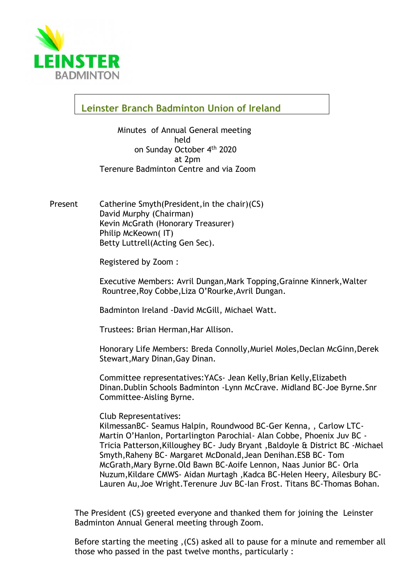

**Leinster Branch Badminton Union of Ireland**

Minutes of Annual General meeting held on Sunday October 4th 2020 at 2pm Terenure Badminton Centre and via Zoom

Present Catherine Smyth(President,in the chair)(CS) David Murphy (Chairman) Kevin McGrath (Honorary Treasurer) Philip McKeown( IT) Betty Luttrell(Acting Gen Sec).

Registered by Zoom :

Executive Members: Avril Dungan,Mark Topping,Grainne Kinnerk,Walter Rountree,Roy Cobbe,Liza O'Rourke,Avril Dungan.

Badminton Ireland -David McGill, Michael Watt.

Trustees: Brian Herman,Har Allison.

Honorary Life Members: Breda Connolly,Muriel Moles,Declan McGinn,Derek Stewart,Mary Dinan,Gay Dinan.

Committee representatives:YACs- Jean Kelly,Brian Kelly,Elizabeth Dinan.Dublin Schools Badminton -Lynn McCrave. Midland BC-Joe Byrne.Snr Committee-Aisling Byrne.

Club Representatives:

KilmessanBC- Seamus Halpin, Roundwood BC-Ger Kenna, , Carlow LTC-Martin O'Hanlon, Portarlington Parochial- Alan Cobbe, Phoenix Juv BC - Tricia Patterson,Killoughey BC- Judy Bryant ,Baldoyle & District BC -Michael Smyth,Raheny BC- Margaret McDonald,Jean Denihan.ESB BC- Tom McGrath,Mary Byrne.Old Bawn BC-Aoife Lennon, Naas Junior BC- Orla Nuzum,Kildare CMWS- Aidan Murtagh ,Kadca BC-Helen Heery, Ailesbury BC-Lauren Au,Joe Wright.Terenure Juv BC-Ian Frost. Titans BC-Thomas Bohan.

The President (CS) greeted everyone and thanked them for joining the Leinster Badminton Annual General meeting through Zoom.

Before starting the meeting ,(CS) asked all to pause for a minute and remember all those who passed in the past twelve months, particularly :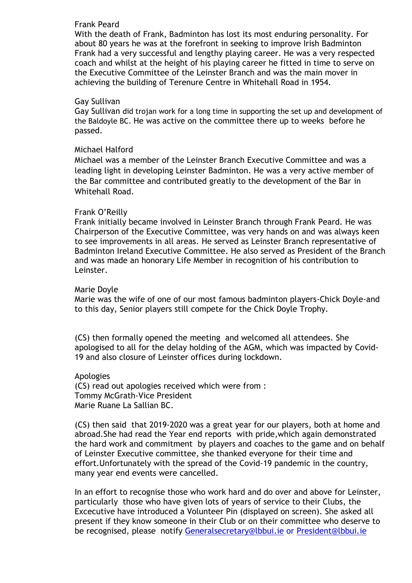#### Frank Peard

With the death of Frank, Badminton has lost its most enduring personality. For about 80 years he was at the forefront in seeking to improve Irish Badminton Frank had a very successful and lengthy playing career. He was a very respected coach and whilst at the height of his playing career he fitted in time to serve on the Executive Committee of the Leinster Branch and was the main mover in achieving the building of Terenure Centre in Whitehall Road in 1954.

#### Gay Sullivan

Gay Sullivan did trojan work for a long time in supporting the set up and development of the Baldoyle BC. He was active on the committee there up to weeks before he passed.

#### Michael Halford

Michael was a member of the Leinster Branch Executive Committee and was a leading light in developing Leinster Badminton. He was a very active member of the Bar committee and contributed greatly to the development of the Bar in Whitehall Road.

#### Frank O'Reilly

Frank initially became involved in Leinster Branch through Frank Peard. He was Chairperson of the Executive Committee, was very hands on and was always keen to see improvements in all areas. He served as Leinster Branch representative of Badminton Ireland Executive Committee. He also served as President of the Branch and was made an honorary Life Member in recognition of his contribution to Leinster.

#### Marie Doyle

Marie was the wife of one of our most famous badminton players-Chick Doyle-and to this day, Senior players still compete for the Chick Doyle Trophy.

(CS) then formally opened the meeting and welcomed all attendees. She apologised to all for the delay holding of the AGM, which was impacted by Covid-19 and also closure of Leinster offices during lockdown.

Apologies (CS) read out apologies received which were from : Tommy McGrath-Vice President Marie Ruane La Sallian BC.

(CS) then said that 2019-2020 was a great year for our players, both at home and abroad.She had read the Year end reports with pride,which again demonstrated the hard work and commitment by players and coaches to the game and on behalf of Leinster Executive committee, she thanked everyone for their time and effort.Unfortunately with the spread of the Covid-19 pandemic in the country, many year end events were cancelled.

In an effort to recognise those who work hard and do over and above for Leinster, particularly those who have given lots of years of service to their Clubs, the Excecutive have introduced a Volunteer Pin (displayed on screen). She asked all present if they know someone in their Club or on their committee who deserve to be recognised, please notify [Generalsecretary@lbbui.ie](mailto:Generalsecretary@lbbui.ie) or [President@lbbui.ie](mailto:President@lbbui.ie)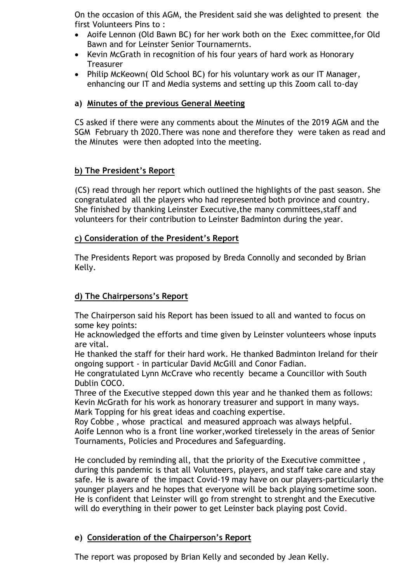On the occasion of this AGM, the President said she was delighted to present the first Volunteers Pins to :

- Aoife Lennon (Old Bawn BC) for her work both on the Exec committee,for Old Bawn and for Leinster Senior Tournamernts.
- Kevin McGrath in recognition of his four years of hard work as Honorary **Treasurer**
- Philip McKeown( Old School BC) for his voluntary work as our IT Manager, enhancing our IT and Media systems and setting up this Zoom call to-day

## **a) Minutes of the previous General Meeting**

CS asked if there were any comments about the Minutes of the 2019 AGM and the SGM February th 2020.There was none and therefore they were taken as read and the Minutes were then adopted into the meeting.

## **b) The President's Report**

(CS) read through her report which outlined the highlights of the past season. She congratulated all the players who had represented both province and country. She finished by thanking Leinster Executive,the many committees,staff and volunteers for their contribution to Leinster Badminton during the year.

#### **c) Consideration of the President's Report**

The Presidents Report was proposed by Breda Connolly and seconded by Brian Kelly.

## **d) The Chairpersons's Report**

The Chairperson said his Report has been issued to all and wanted to focus on some key points:

He acknowledged the efforts and time given by Leinster volunteers whose inputs are vital.

He thanked the staff for their hard work. He thanked Badminton Ireland for their ongoing support - in particular David McGill and Conor Fadian.

He congratulated Lynn McCrave who recently became a Councillor with South Dublin COCO.

Three of the Executive stepped down this year and he thanked them as follows: Kevin McGrath for his work as honorary treasurer and support in many ways. Mark Topping for his great ideas and coaching expertise.

Roy Cobbe , whose practical and measured approach was always helpful. Aoife Lennon who is a front line worker,worked tirelessely in the areas of Senior Tournaments, Policies and Procedures and Safeguarding.

He concluded by reminding all, that the priority of the Executive committee , during this pandemic is that all Volunteers, players, and staff take care and stay safe. He is aware of the impact Covid-19 may have on our players-particularly the younger players and he hopes that everyone will be back playing sometime soon. He is confident that Leinster will go from strenght to strenght and the Executive will do everything in their power to get Leinster back playing post Covid.

## **e) Consideration of the Chairperson's Report**

The report was proposed by Brian Kelly and seconded by Jean Kelly.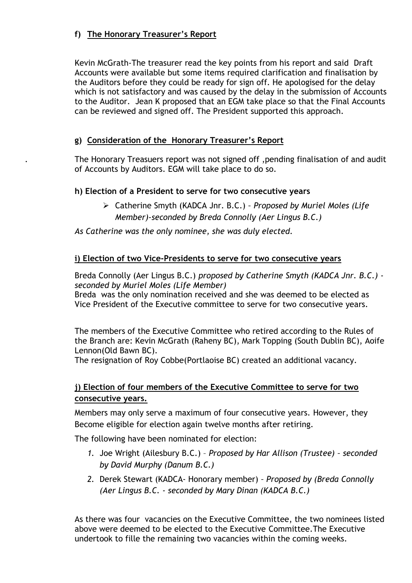# **f) The Honorary Treasurer's Report**

Kevin McGrath-The treasurer read the key points from his report and said Draft Accounts were available but some items required clarification and finalisation by the Auditors before they could be ready for sign off. He apologised for the delay which is not satisfactory and was caused by the delay in the submission of Accounts to the Auditor. Jean K proposed that an EGM take place so that the Final Accounts can be reviewed and signed off. The President supported this approach.

## **g) Consideration of the Honorary Treasurer's Report**

. The Honorary Treasuers report was not signed off ,pending finalisation of and audit of Accounts by Auditors. EGM will take place to do so.

## **h) Election of a President to serve for two consecutive years**

➢ Catherine Smyth (KADCA Jnr. B.C.) *– Proposed by Muriel Moles (Life Member)-seconded by Breda Connolly (Aer Lingus B.C.)*

*As Catherine was the only nominee, she was duly elected.*

## **i) Election of two Vice-Presidents to serve for two consecutive years**

Breda Connolly (Aer Lingus B.C.) *proposed by Catherine Smyth (KADCA Jnr. B.C.) seconded by Muriel Moles (Life Member)*

Breda was the only nomination received and she was deemed to be elected as Vice President of the Executive committee to serve for two consecutive years.

The members of the Executive Committee who retired according to the Rules of the Branch are: Kevin McGrath (Raheny BC), Mark Topping (South Dublin BC), Aoife Lennon(Old Bawn BC).

The resignation of Roy Cobbe(Portlaoise BC) created an additional vacancy.

# **j) Election of four members of the Executive Committee to serve for two consecutive years.**

 Members may only serve a maximum of four consecutive years. However, they Become eligible for election again twelve months after retiring.

The following have been nominated for election:

- *1.* Joe Wright (Ailesbury B.C.) *Proposed by Har Allison (Trustee) – seconded by David Murphy (Danum B.C.)*
- *2.* Derek Stewart (KADCA- Honorary member) *– Proposed by (Breda Connolly (Aer Lingus B.C. - seconded by Mary Dinan (KADCA B.C.)*

 As there was four vacancies on the Executive Committee, the two nominees listed above were deemed to be elected to the Executive Committee.The Executive undertook to fille the remaining two vacancies within the coming weeks.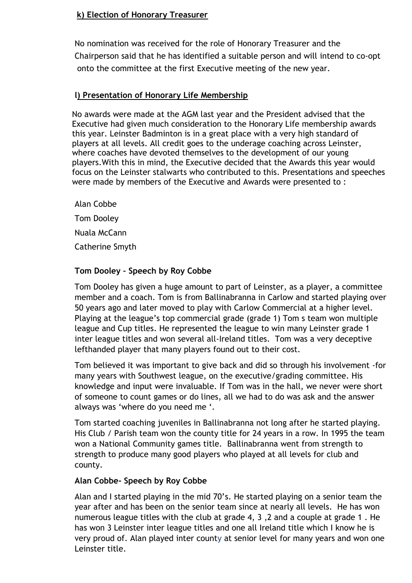## **k) Election of Honorary Treasurer**

 No nomination was received for the role of Honorary Treasurer and the Chairperson said that he has identified a suitable person and will intend to co-opt onto the committee at the first Executive meeting of the new year.

## **l) Presentation of Honorary Life Membership**

No awards were made at the AGM last year and the President advised that the Executive had given much consideration to the Honorary Life membership awards this year. Leinster Badminton is in a great place with a very high standard of players at all levels. All credit goes to the underage coaching across Leinster, where coaches have devoted themselves to the development of our young players.With this in mind, the Executive decided that the Awards this year would focus on the Leinster stalwarts who contributed to this. Presentations and speeches were made by members of the Executive and Awards were presented to :

Alan Cobbe Tom Dooley Nuala McCann Catherine Smyth

# **Tom Dooley – Speech by Roy Cobbe**

Tom Dooley has given a huge amount to part of Leinster, as a player, a committee member and a coach. Tom is from Ballinabranna in Carlow and started playing over 50 years ago and later moved to play with Carlow Commercial at a higher level. Playing at the league's top commercial grade (grade 1) Tom s team won multiple league and Cup titles. He represented the league to win many Leinster grade 1 inter league titles and won several all-Ireland titles. Tom was a very deceptive lefthanded player that many players found out to their cost.

Tom believed it was important to give back and did so through his involvement -for many years with Southwest league, on the executive/grading committee. His knowledge and input were invaluable. If Tom was in the hall, we never were short of someone to count games or do lines, all we had to do was ask and the answer always was 'where do you need me '.

Tom started coaching juveniles in Ballinabranna not long after he started playing. His Club / Parish team won the county title for 24 years in a row. In 1995 the team won a National Community games title. Ballinabranna went from strength to strength to produce many good players who played at all levels for club and county.

## **Alan Cobbe- Speech by Roy Cobbe**

Alan and I started playing in the mid 70's. He started playing on a senior team the year after and has been on the senior team since at nearly all levels. He has won numerous league titles with the club at grade 4, 3 ,2 and a couple at grade 1 . He has won 3 Leinster inter league titles and one all Ireland title which I know he is very proud of. Alan played inter county at senior level for many years and won one Leinster title.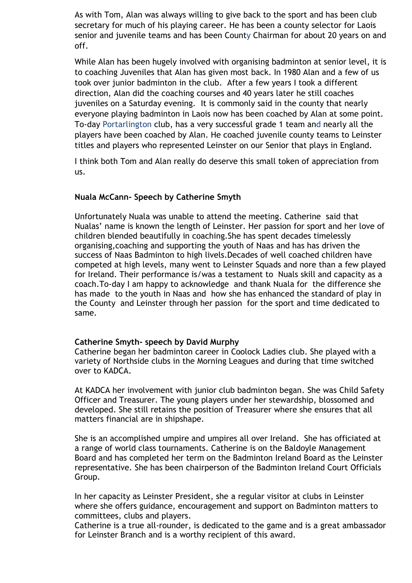As with Tom, Alan was always willing to give back to the sport and has been club secretary for much of his playing career. He has been a county selector for Laois senior and juvenile teams and has been County Chairman for about 20 years on and off.

While Alan has been hugely involved with organising badminton at senior level, it is to coaching Juveniles that Alan has given most back. In 1980 Alan and a few of us took over junior badminton in the club. After a few years I took a different direction, Alan did the coaching courses and 40 years later he still coaches juveniles on a Saturday evening. It is commonly said in the county that nearly everyone playing badminton in Laois now has been coached by Alan at some point. To-day Portarlington club, has a very successful grade 1 team and nearly all the players have been coached by Alan. He coached juvenile county teams to Leinster titles and players who represented Leinster on our Senior that plays in England.

I think both Tom and Alan really do deserve this small token of appreciation from us.

#### **Nuala McCann- Speech by Catherine Smyth**

Unfortunately Nuala was unable to attend the meeting. Catherine said that Nualas' name is known the length of Leinster. Her passion for sport and her love of children blended beautifully in coaching.She has spent decades timelessly organising,coaching and supporting the youth of Naas and has has driven the success of Naas Badminton to high livels.Decades of well coached children have competed at high levels, many went to Leinster Squads and nore than a few played for Ireland. Their performance is/was a testament to Nuals skill and capacity as a coach.To-day I am happy to acknowledge and thank Nuala for the difference she has made to the youth in Naas and how she has enhanced the standard of play in the County and Leinster through her passion for the sport and time dedicated to same.

#### **Catherine Smyth- speech by David Murphy**

Catherine began her badminton career in Coolock Ladies club. She played with a variety of Northside clubs in the Morning Leagues and during that time switched over to KADCA.

At KADCA her involvement with junior club badminton began. She was Child Safety Officer and Treasurer. The young players under her stewardship, blossomed and developed. She still retains the position of Treasurer where she ensures that all matters financial are in shipshape.

She is an accomplished umpire and umpires all over Ireland. She has officiated at a range of world class tournaments. Catherine is on the Baldoyle Management Board and has completed her term on the Badminton Ireland Board as the Leinster representative. She has been chairperson of the Badminton Ireland Court Officials Group.

In her capacity as Leinster President, she a regular visitor at clubs in Leinster where she offers guidance, encouragement and support on Badminton matters to committees, clubs and players.

Catherine is a true all-rounder, is dedicated to the game and is a great ambassador for Leinster Branch and is a worthy recipient of this award.